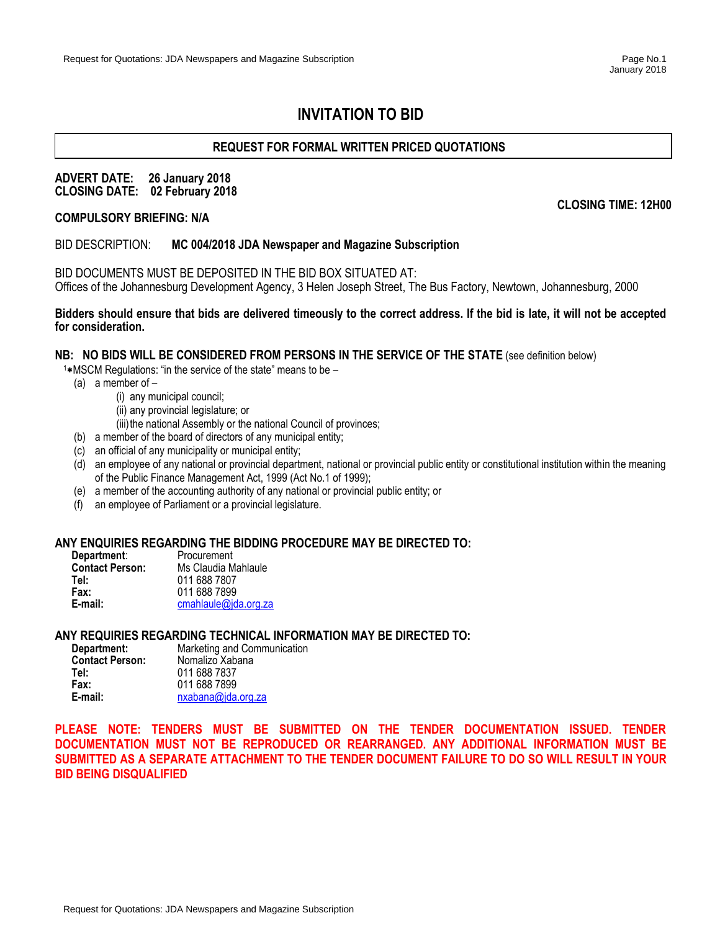# **INVITATION TO BID**

# **REQUEST FOR FORMAL WRITTEN PRICED QUOTATIONS**

### **ADVERT DATE: 26 January 2018 CLOSING DATE: 02 February 2018**

**CLOSING TIME: 12H00**

### **COMPULSORY BRIEFING: N/A**

### BID DESCRIPTION: **MC 004/2018 JDA Newspaper and Magazine Subscription**

BID DOCUMENTS MUST BE DEPOSITED IN THE BID BOX SITUATED AT: Offices of the Johannesburg Development Agency, 3 Helen Joseph Street, The Bus Factory, Newtown, Johannesburg, 2000

### **Bidders should ensure that bids are delivered timeously to the correct address. If the bid is late, it will not be accepted for consideration.**

### **NB: NO BIDS WILL BE CONSIDERED FROM PERSONS IN THE SERVICE OF THE STATE** (see definition below)

 $1*$ MSCM Regulations: "in the service of the state" means to be  $-$ 

- (a) a member of
	- (i) any municipal council;
		- (ii) any provincial legislature; or
	- (iii) the national Assembly or the national Council of provinces;
- (b) a member of the board of directors of any municipal entity;
- (c) an official of any municipality or municipal entity;
- (d) an employee of any national or provincial department, national or provincial public entity or constitutional institution within the meaning of the Public Finance Management Act, 1999 (Act No.1 of 1999);
- (e) a member of the accounting authority of any national or provincial public entity; or
- (f) an employee of Parliament or a provincial legislature.

### **ANY ENQUIRIES REGARDING THE BIDDING PROCEDURE MAY BE DIRECTED TO:**

| Department:            | Procurement          |
|------------------------|----------------------|
| <b>Contact Person:</b> | Ms Claudia Mahlaule  |
| Tel:                   | 011 688 7807         |
| Fax:                   | 011 688 7899         |
| E-mail:                | cmahlaule@jda.org.za |

### **ANY REQUIRIES REGARDING TECHNICAL INFORMATION MAY BE DIRECTED TO:**

| Department:            | Marketing and Communication |
|------------------------|-----------------------------|
| <b>Contact Person:</b> | Nomalizo Xabana             |
| Tel:                   | 011 688 7837                |
| Fax:                   | 011 688 7899                |
| E-mail:                | nxabana@ida.org.za          |

**PLEASE NOTE: TENDERS MUST BE SUBMITTED ON THE TENDER DOCUMENTATION ISSUED. TENDER DOCUMENTATION MUST NOT BE REPRODUCED OR REARRANGED. ANY ADDITIONAL INFORMATION MUST BE SUBMITTED AS A SEPARATE ATTACHMENT TO THE TENDER DOCUMENT FAILURE TO DO SO WILL RESULT IN YOUR BID BEING DISQUALIFIED**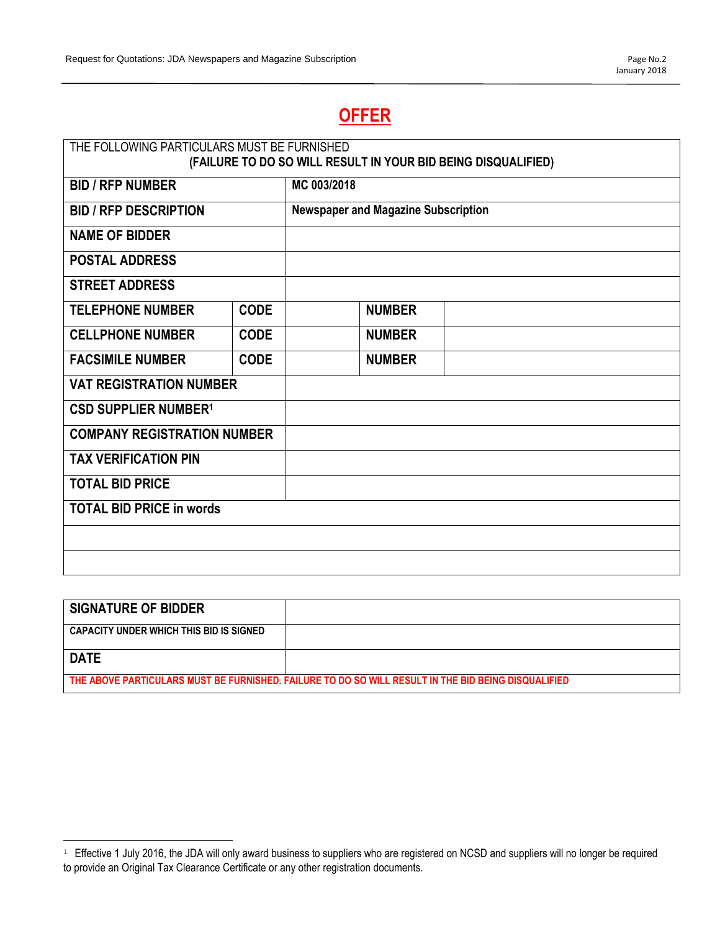# **OFFER**

| THE FOLLOWING PARTICULARS MUST BE FURNISHED<br>(FAILURE TO DO SO WILL RESULT IN YOUR BID BEING DISQUALIFIED) |             |             |                                            |  |
|--------------------------------------------------------------------------------------------------------------|-------------|-------------|--------------------------------------------|--|
| <b>BID / RFP NUMBER</b>                                                                                      |             | MC 003/2018 |                                            |  |
|                                                                                                              |             |             |                                            |  |
| <b>BID / RFP DESCRIPTION</b>                                                                                 |             |             | <b>Newspaper and Magazine Subscription</b> |  |
| <b>NAME OF BIDDER</b>                                                                                        |             |             |                                            |  |
| <b>POSTAL ADDRESS</b>                                                                                        |             |             |                                            |  |
| <b>STREET ADDRESS</b>                                                                                        |             |             |                                            |  |
| <b>TELEPHONE NUMBER</b><br><b>CODE</b>                                                                       |             |             | <b>NUMBER</b>                              |  |
| <b>CELLPHONE NUMBER</b>                                                                                      | <b>CODE</b> |             | <b>NUMBER</b>                              |  |
| <b>FACSIMILE NUMBER</b>                                                                                      | <b>CODE</b> |             | <b>NUMBER</b>                              |  |
| <b>VAT REGISTRATION NUMBER</b>                                                                               |             |             |                                            |  |
| <b>CSD SUPPLIER NUMBER1</b>                                                                                  |             |             |                                            |  |
| <b>COMPANY REGISTRATION NUMBER</b>                                                                           |             |             |                                            |  |
| <b>TAX VERIFICATION PIN</b>                                                                                  |             |             |                                            |  |
| <b>TOTAL BID PRICE</b>                                                                                       |             |             |                                            |  |
| <b>TOTAL BID PRICE in words</b>                                                                              |             |             |                                            |  |
|                                                                                                              |             |             |                                            |  |
|                                                                                                              |             |             |                                            |  |

| <b>SIGNATURE OF BIDDER</b>                                                                          |  |  |
|-----------------------------------------------------------------------------------------------------|--|--|
| CAPACITY UNDER WHICH THIS BID IS SIGNED                                                             |  |  |
| <b>DATE</b>                                                                                         |  |  |
| THE ABOVE PARTICULARS MUST BE FURNISHED. FAILURE TO DO SO WILL RESULT IN THE BID BEING DISQUALIFIED |  |  |

 $\overline{a}$ 

 $1$  Effective 1 July 2016, the JDA will only award business to suppliers who are registered on NCSD and suppliers will no longer be required to provide an Original Tax Clearance Certificate or any other registration documents.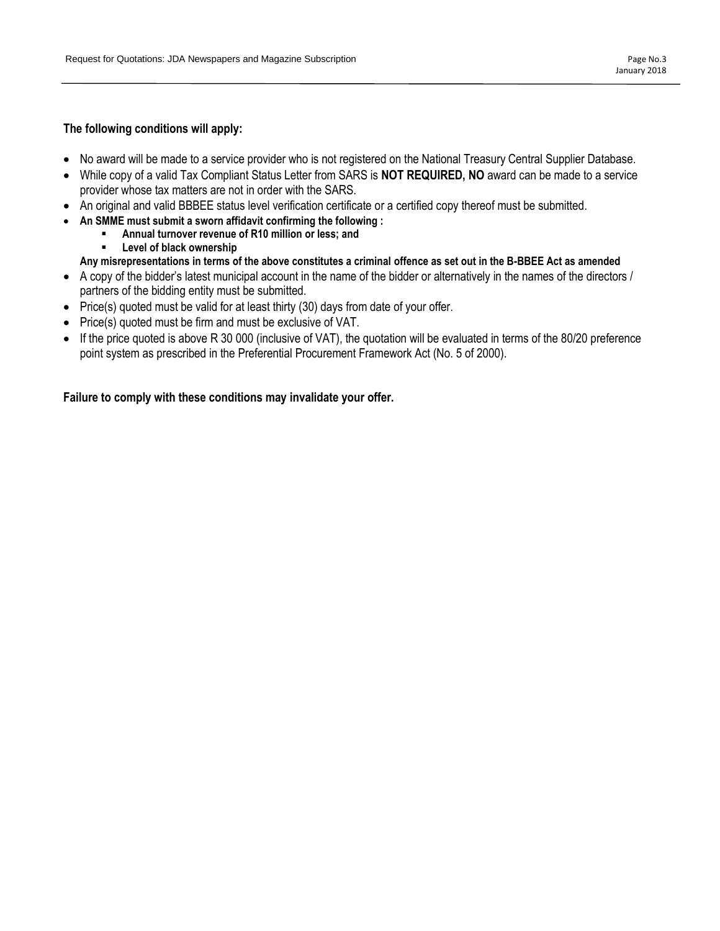# **The following conditions will apply:**

- No award will be made to a service provider who is not registered on the National Treasury Central Supplier Database.
- While copy of a valid Tax Compliant Status Letter from SARS is **NOT REQUIRED, NO** award can be made to a service provider whose tax matters are not in order with the SARS.
- An original and valid BBBEE status level verification certificate or a certified copy thereof must be submitted.
- **An SMME must submit a sworn affidavit confirming the following :** 
	- Annual turnover revenue of R10 million or less; and
		- **Level of black ownership**

# **Any misrepresentations in terms of the above constitutes a criminal offence as set out in the B-BBEE Act as amended**

- A copy of the bidder's latest municipal account in the name of the bidder or alternatively in the names of the directors / partners of the bidding entity must be submitted.
- Price(s) quoted must be valid for at least thirty (30) days from date of your offer.
- Price(s) quoted must be firm and must be exclusive of VAT.
- If the price quoted is above R 30 000 (inclusive of VAT), the quotation will be evaluated in terms of the 80/20 preference point system as prescribed in the Preferential Procurement Framework Act (No. 5 of 2000).

**Failure to comply with these conditions may invalidate your offer.**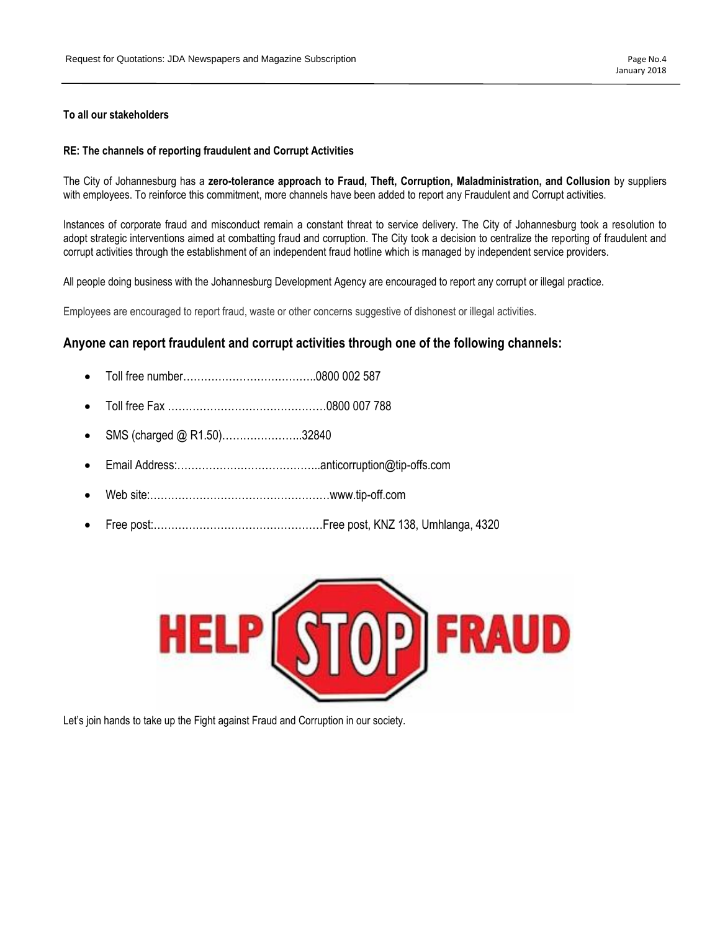### **To all our stakeholders**

### **RE: The channels of reporting fraudulent and Corrupt Activities**

The City of Johannesburg has a **zero-tolerance approach to Fraud, Theft, Corruption, Maladministration, and Collusion** by suppliers with employees. To reinforce this commitment, more channels have been added to report any Fraudulent and Corrupt activities.

Instances of corporate fraud and misconduct remain a constant threat to service delivery. The City of Johannesburg took a resolution to adopt strategic interventions aimed at combatting fraud and corruption. The City took a decision to centralize the reporting of fraudulent and corrupt activities through the establishment of an independent fraud hotline which is managed by independent service providers.

All people doing business with the Johannesburg Development Agency are encouraged to report any corrupt or illegal practice.

Employees are encouraged to report fraud, waste or other concerns suggestive of dishonest or illegal activities.

# **Anyone can report fraudulent and corrupt activities through one of the following channels:**

- Toll free number………………………………..0800 002 587
- Toll free Fax ………………………………………0800 007 788
- SMS (charged @ R1.50)…………………..32840
- Email Address:…………………………………..anticorruption@tip-offs.com
- Web site:……………………………………………www.tip-off.com
- Free post:…………………………………………Free post, KNZ 138, Umhlanga, 4320



Let's join hands to take up the Fight against Fraud and Corruption in our society.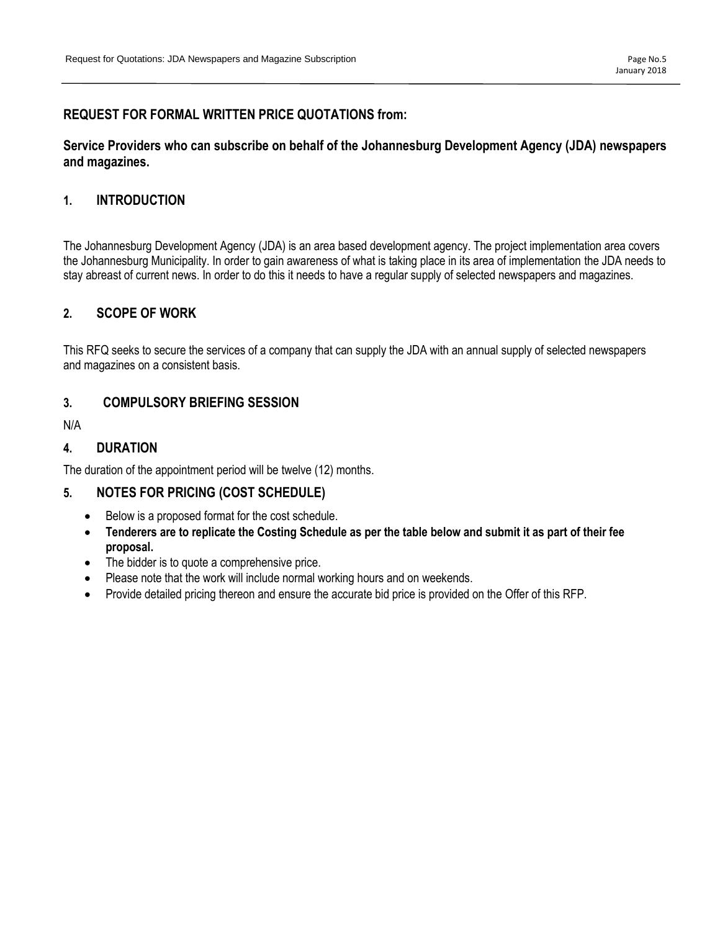# **REQUEST FOR FORMAL WRITTEN PRICE QUOTATIONS from:**

# **Service Providers who can subscribe on behalf of the Johannesburg Development Agency (JDA) newspapers and magazines.**

# **1. INTRODUCTION**

The Johannesburg Development Agency (JDA) is an area based development agency. The project implementation area covers the Johannesburg Municipality. In order to gain awareness of what is taking place in its area of implementation the JDA needs to stay abreast of current news. In order to do this it needs to have a regular supply of selected newspapers and magazines.

# **2. SCOPE OF WORK**

This RFQ seeks to secure the services of a company that can supply the JDA with an annual supply of selected newspapers and magazines on a consistent basis.

# **3. COMPULSORY BRIEFING SESSION**

N/A

# **4. DURATION**

The duration of the appointment period will be twelve (12) months.

# **5. NOTES FOR PRICING (COST SCHEDULE)**

- Below is a proposed format for the cost schedule.
- **Tenderers are to replicate the Costing Schedule as per the table below and submit it as part of their fee proposal.**
- The bidder is to quote a comprehensive price.
- Please note that the work will include normal working hours and on weekends.
- Provide detailed pricing thereon and ensure the accurate bid price is provided on the Offer of this RFP.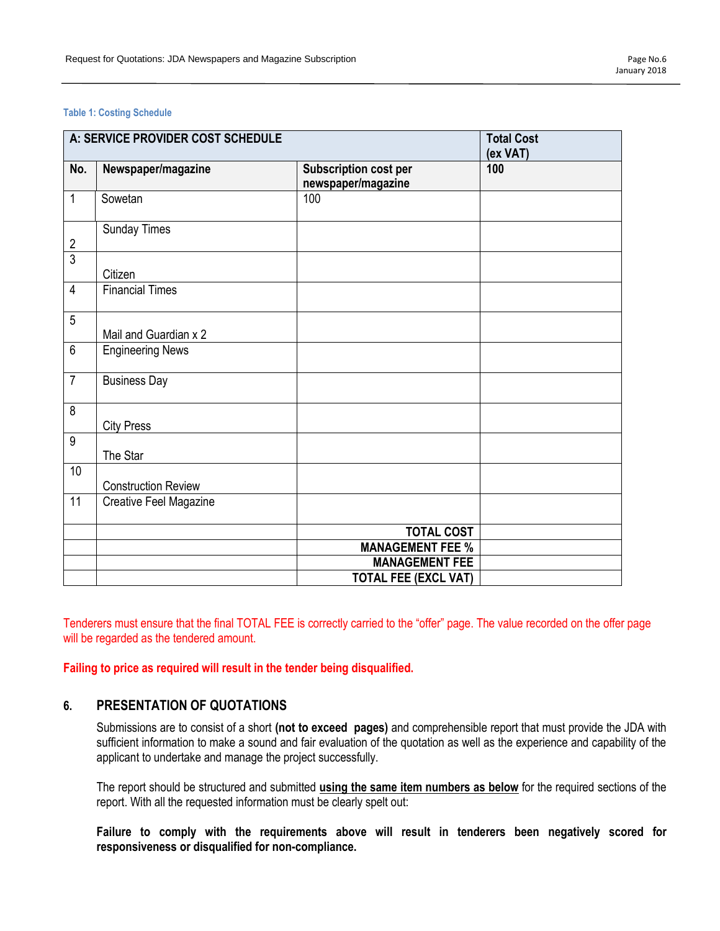### **Table 1: Costing Schedule**

| A: SERVICE PROVIDER COST SCHEDULE |                            |                                                    | <b>Total Cost</b><br>(ex VAT) |
|-----------------------------------|----------------------------|----------------------------------------------------|-------------------------------|
| No.                               | Newspaper/magazine         | <b>Subscription cost per</b><br>newspaper/magazine | 100                           |
| $\mathbf{1}$                      | Sowetan                    | 100                                                |                               |
| $\frac{2}{3}$                     | <b>Sunday Times</b>        |                                                    |                               |
|                                   | Citizen                    |                                                    |                               |
| $\overline{4}$                    | <b>Financial Times</b>     |                                                    |                               |
| 5                                 | Mail and Guardian x 2      |                                                    |                               |
| $\overline{6}$                    | <b>Engineering News</b>    |                                                    |                               |
| $\overline{7}$                    | <b>Business Day</b>        |                                                    |                               |
| $\overline{8}$                    | <b>City Press</b>          |                                                    |                               |
| $\overline{9}$                    | The Star                   |                                                    |                               |
| 10                                | <b>Construction Review</b> |                                                    |                               |
| $\overline{11}$                   | Creative Feel Magazine     |                                                    |                               |
|                                   |                            | <b>TOTAL COST</b>                                  |                               |
|                                   |                            | <b>MANAGEMENT FEE %</b>                            |                               |
|                                   |                            | <b>MANAGEMENT FEE</b>                              |                               |
|                                   |                            | <b>TOTAL FEE (EXCL VAT)</b>                        |                               |

Tenderers must ensure that the final TOTAL FEE is correctly carried to the "offer" page. The value recorded on the offer page will be regarded as the tendered amount.

**Failing to price as required will result in the tender being disqualified.**

# **6. PRESENTATION OF QUOTATIONS**

Submissions are to consist of a short **(not to exceed pages)** and comprehensible report that must provide the JDA with sufficient information to make a sound and fair evaluation of the quotation as well as the experience and capability of the applicant to undertake and manage the project successfully.

The report should be structured and submitted **using the same item numbers as below** for the required sections of the report. With all the requested information must be clearly spelt out:

**Failure to comply with the requirements above will result in tenderers been negatively scored for responsiveness or disqualified for non-compliance.**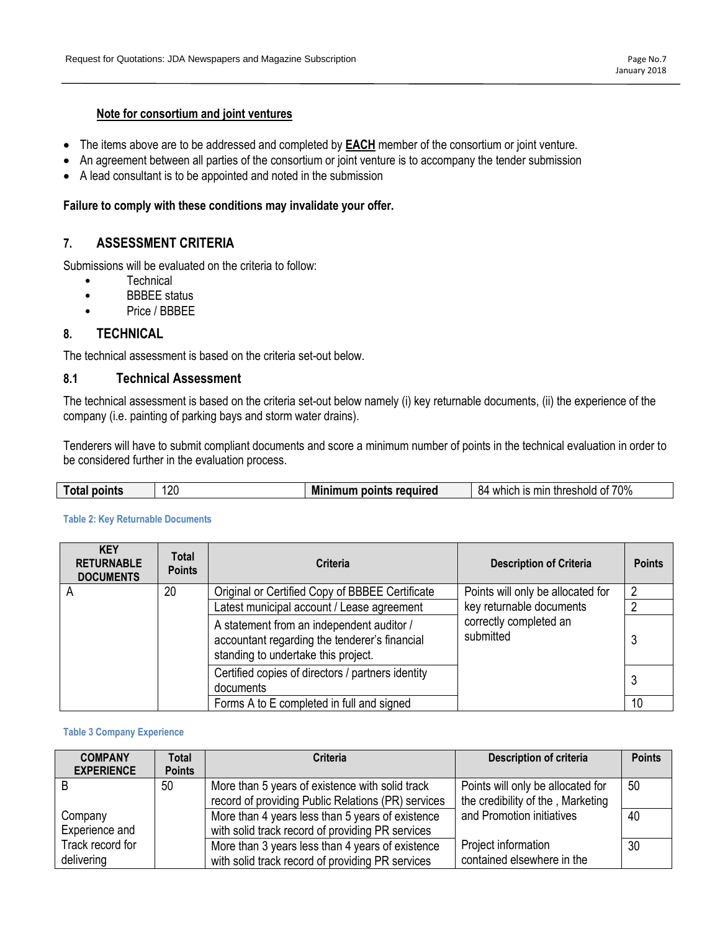# **Note for consortium and joint ventures**

- The items above are to be addressed and completed by **EACH** member of the consortium or joint venture.
- An agreement between all parties of the consortium or joint venture is to accompany the tender submission
- A lead consultant is to be appointed and noted in the submission

### **Failure to comply with these conditions may invalidate your offer.**

# **7. ASSESSMENT CRITERIA**

Submissions will be evaluated on the criteria to follow:

- Technical
- BBBEE status
- Price / BBBEE

# **8. TECHNICAL**

The technical assessment is based on the criteria set-out below.

### **8.1 Technical Assessment**

The technical assessment is based on the criteria set-out below namely (i) key returnable documents, (ii) the experience of the company (i.e. painting of parking bays and storm water drains).

Tenderers will have to submit compliant documents and score a minimum number of points in the technical evaluation in order to be considered further in the evaluation process.

|  | -<br><b>Total</b> | points | חמו | Mi<br>points required<br>almum. | 70%<br>mır<br>threshold<br>1S<br>84<br>which<br>ОТ |
|--|-------------------|--------|-----|---------------------------------|----------------------------------------------------|
|--|-------------------|--------|-----|---------------------------------|----------------------------------------------------|

#### **KEY RETURNABLE DOCUMENTS Total Points Points Points Points Points Points** A 20 | Original or Certified Copy of BBBEE Certificate | Points will only be allocated for key returnable documents correctly completed an submitted 2 Latest municipal account / Lease agreement | key returnable documents | 2 A statement from an independent auditor / accountant regarding the tenderer's financial standing to undertake this project. 3 Certified copies of directors / partners identity documents <sup>3</sup> Forms A to E completed in full and signed 10

### **Table 2: Key Returnable Documents**

### **Table 3 Company Experience**

| <b>COMPANY</b>    | <b>Total</b>  | <b>Criteria</b>                                    | <b>Description of criteria</b>    | <b>Points</b> |
|-------------------|---------------|----------------------------------------------------|-----------------------------------|---------------|
| <b>EXPERIENCE</b> | <b>Points</b> |                                                    |                                   |               |
|                   | 50            | More than 5 years of existence with solid track    | Points will only be allocated for | 50            |
|                   |               | record of providing Public Relations (PR) services | the credibility of the, Marketing |               |
| Company           |               | More than 4 years less than 5 years of existence   | and Promotion initiatives         | 40            |
| Experience and    |               | with solid track record of providing PR services   |                                   |               |
| Track record for  |               | More than 3 years less than 4 years of existence   | Project information               | 30            |
| delivering        |               | with solid track record of providing PR services   | contained elsewhere in the        |               |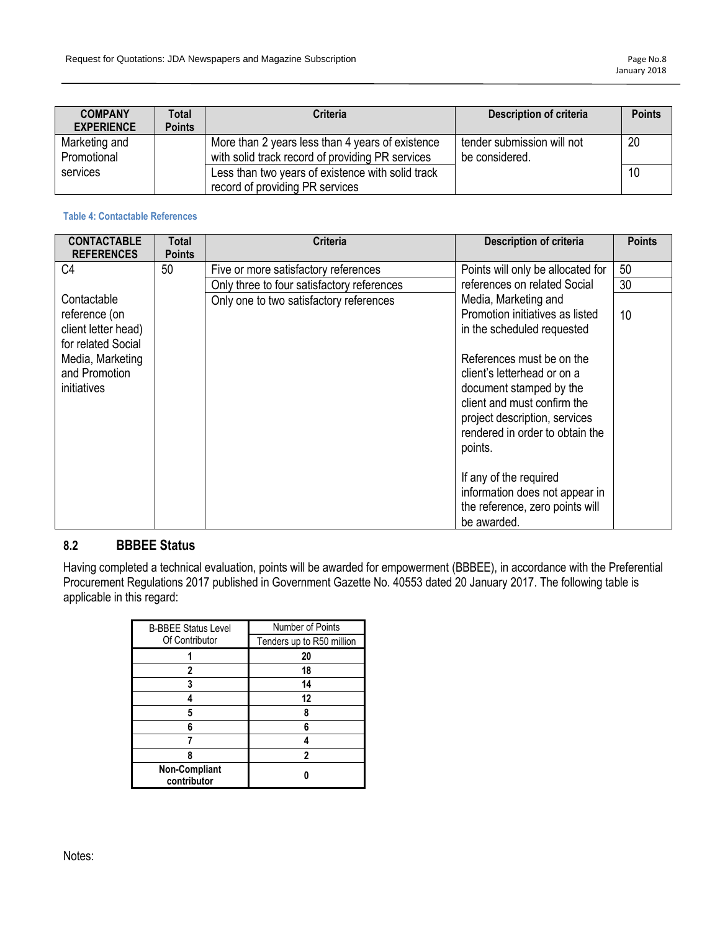| <b>COMPANY</b><br><b>EXPERIENCE</b> | Total<br><b>Points</b> | Criteria                                          | Description of criteria    | <b>Points</b> |
|-------------------------------------|------------------------|---------------------------------------------------|----------------------------|---------------|
| Marketing and                       |                        | More than 2 years less than 4 years of existence  | tender submission will not | 20            |
| Promotional                         |                        | with solid track record of providing PR services  | be considered.             |               |
| services                            |                        | Less than two years of existence with solid track |                            | 10            |
|                                     |                        | record of providing PR services                   |                            |               |

### **Table 4: Contactable References**

| <b>CONTACTABLE</b><br><b>REFERENCES</b> | Total<br><b>Points</b> | <b>Criteria</b>                            | <b>Description of criteria</b>                                   | <b>Points</b> |
|-----------------------------------------|------------------------|--------------------------------------------|------------------------------------------------------------------|---------------|
| C <sub>4</sub>                          | 50                     | Five or more satisfactory references       | Points will only be allocated for                                | 50            |
|                                         |                        | Only three to four satisfactory references | references on related Social                                     | 30            |
| Contactable                             |                        | Only one to two satisfactory references    | Media, Marketing and                                             |               |
| reference (on                           |                        |                                            | Promotion initiatives as listed                                  | 10            |
| client letter head)                     |                        |                                            | in the scheduled requested                                       |               |
| for related Social                      |                        |                                            |                                                                  |               |
| Media, Marketing                        |                        |                                            | References must be on the                                        |               |
| and Promotion                           |                        |                                            | client's letterhead or on a                                      |               |
| initiatives                             |                        |                                            | document stamped by the                                          |               |
|                                         |                        |                                            | client and must confirm the                                      |               |
|                                         |                        |                                            | project description, services<br>rendered in order to obtain the |               |
|                                         |                        |                                            |                                                                  |               |
|                                         |                        |                                            | points.                                                          |               |
|                                         |                        |                                            | If any of the required                                           |               |
|                                         |                        |                                            | information does not appear in                                   |               |
|                                         |                        |                                            | the reference, zero points will                                  |               |
|                                         |                        |                                            | be awarded.                                                      |               |

# **8.2 BBBEE Status**

Having completed a technical evaluation, points will be awarded for empowerment (BBBEE), in accordance with the Preferential Procurement Regulations 2017 published in Government Gazette No. 40553 dated 20 January 2017. The following table is applicable in this regard:

| <b>B-BBEE Status Level</b>   | Number of Points          |
|------------------------------|---------------------------|
| Of Contributor               | Tenders up to R50 million |
|                              | 20                        |
| 2                            | 18                        |
| 3                            | 14                        |
|                              | 12                        |
| 5                            | 8                         |
| 6                            |                           |
|                              |                           |
| 8                            | 2                         |
| Non-Compliant<br>contributor |                           |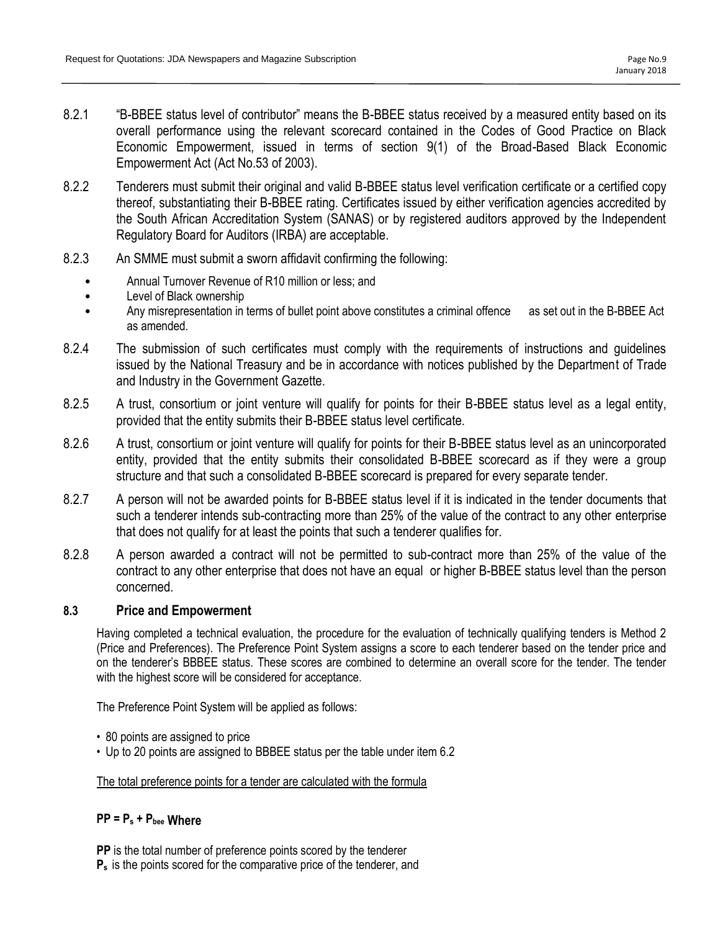- 8.2.1 "B-BBEE status level of contributor" means the B-BBEE status received by a measured entity based on its overall performance using the relevant scorecard contained in the Codes of Good Practice on Black Economic Empowerment, issued in terms of section 9(1) of the Broad-Based Black Economic Empowerment Act (Act No.53 of 2003).
- 8.2.2 Tenderers must submit their original and valid B-BBEE status level verification certificate or a certified copy thereof, substantiating their B-BBEE rating. Certificates issued by either verification agencies accredited by the South African Accreditation System (SANAS) or by registered auditors approved by the Independent Regulatory Board for Auditors (IRBA) are acceptable.
- 8.2.3 An SMME must submit a sworn affidavit confirming the following:
	- Annual Turnover Revenue of R10 million or less; and
	- Level of Black ownership
	- Any misrepresentation in terms of bullet point above constitutes a criminal offence as set out in the B-BBEE Act as amended.
- 8.2.4 The submission of such certificates must comply with the requirements of instructions and guidelines issued by the National Treasury and be in accordance with notices published by the Department of Trade and Industry in the Government Gazette.
- 8.2.5 A trust, consortium or joint venture will qualify for points for their B-BBEE status level as a legal entity, provided that the entity submits their B-BBEE status level certificate.
- 8.2.6 A trust, consortium or joint venture will qualify for points for their B-BBEE status level as an unincorporated entity, provided that the entity submits their consolidated B-BBEE scorecard as if they were a group structure and that such a consolidated B-BBEE scorecard is prepared for every separate tender.
- 8.2.7 A person will not be awarded points for B-BBEE status level if it is indicated in the tender documents that such a tenderer intends sub-contracting more than 25% of the value of the contract to any other enterprise that does not qualify for at least the points that such a tenderer qualifies for.
- 8.2.8 A person awarded a contract will not be permitted to sub-contract more than 25% of the value of the contract to any other enterprise that does not have an equal or higher B-BBEE status level than the person concerned.

# **8.3 Price and Empowerment**

Having completed a technical evaluation, the procedure for the evaluation of technically qualifying tenders is Method 2 (Price and Preferences). The Preference Point System assigns a score to each tenderer based on the tender price and on the tenderer's BBBEE status. These scores are combined to determine an overall score for the tender. The tender with the highest score will be considered for acceptance.

The Preference Point System will be applied as follows:

- 80 points are assigned to price
- Up to 20 points are assigned to BBBEE status per the table under item 6.2

# The total preference points for a tender are calculated with the formula

# **PP = P<sup>s</sup> + Pbee Where**

**PP** is the total number of preference points scored by the tenderer

**P<sup>s</sup>** is the points scored for the comparative price of the tenderer, and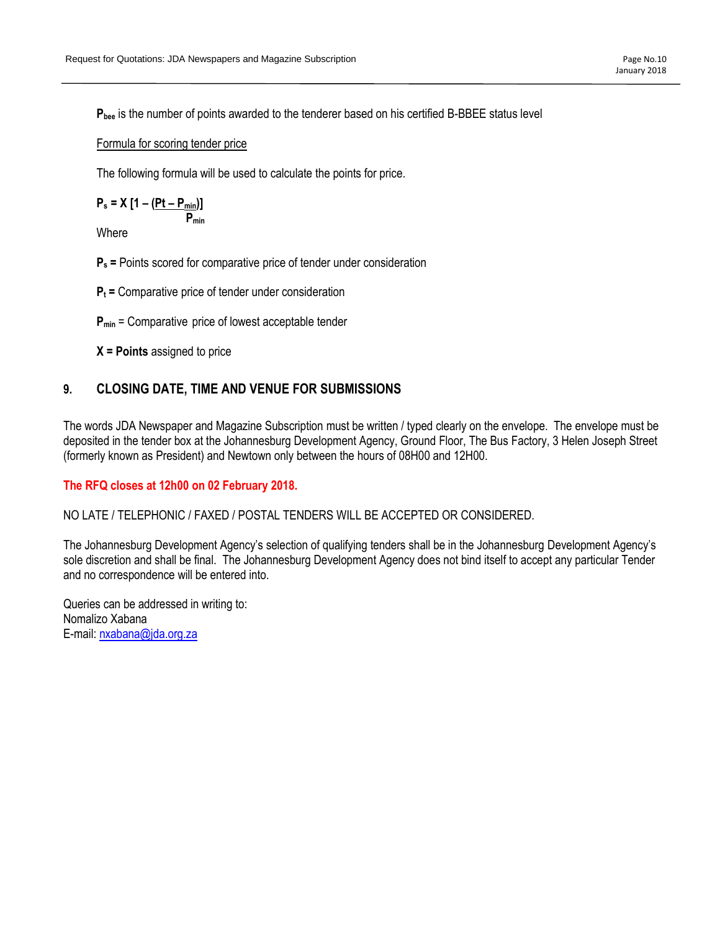**Pbee** is the number of points awarded to the tenderer based on his certified B-BBEE status level

### Formula for scoring tender price

The following formula will be used to calculate the points for price.

$$
P_s = X [1 - \frac{(Pt - P_{min})}{P_{min}}]
$$

**Where** 

**P<sup>s</sup> =** Points scored for comparative price of tender under consideration

**P<sup>t</sup> =** Comparative price of tender under consideration

**Pmin** = Comparative price of lowest acceptable tender

**X = Points** assigned to price

# **9. CLOSING DATE, TIME AND VENUE FOR SUBMISSIONS**

The words JDA Newspaper and Magazine Subscription must be written / typed clearly on the envelope. The envelope must be deposited in the tender box at the Johannesburg Development Agency, Ground Floor, The Bus Factory, 3 Helen Joseph Street (formerly known as President) and Newtown only between the hours of 08H00 and 12H00.

# **The RFQ closes at 12h00 on 02 February 2018.**

NO LATE / TELEPHONIC / FAXED / POSTAL TENDERS WILL BE ACCEPTED OR CONSIDERED.

The Johannesburg Development Agency's selection of qualifying tenders shall be in the Johannesburg Development Agency's sole discretion and shall be final. The Johannesburg Development Agency does not bind itself to accept any particular Tender and no correspondence will be entered into.

Queries can be addressed in writing to: Nomalizo Xabana E-mail[: nxabana@jda.org.za](mailto:nxabana@jda.org.za)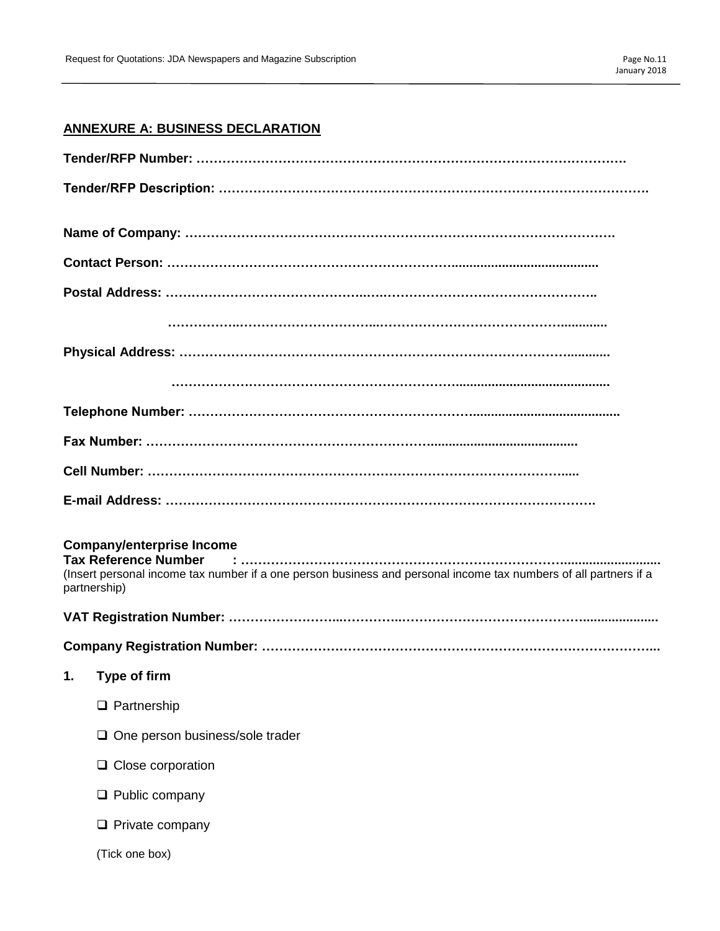# **ANNEXURE A: BUSINESS DECLARATION**

| <b>Company/enterprise Income</b><br>(Insert personal income tax number if a one person business and personal income tax numbers of all partners if a<br>partnership) |
|----------------------------------------------------------------------------------------------------------------------------------------------------------------------|
|                                                                                                                                                                      |
|                                                                                                                                                                      |
| 1.<br><b>Type of firm</b>                                                                                                                                            |
| $\Box$ Partnership                                                                                                                                                   |
| $\Box$ One person business/sole trader                                                                                                                               |
| $\Box$ Close corporation                                                                                                                                             |
| $\Box$ Public company                                                                                                                                                |
| $\Box$ Private company                                                                                                                                               |
| (Tick one box)                                                                                                                                                       |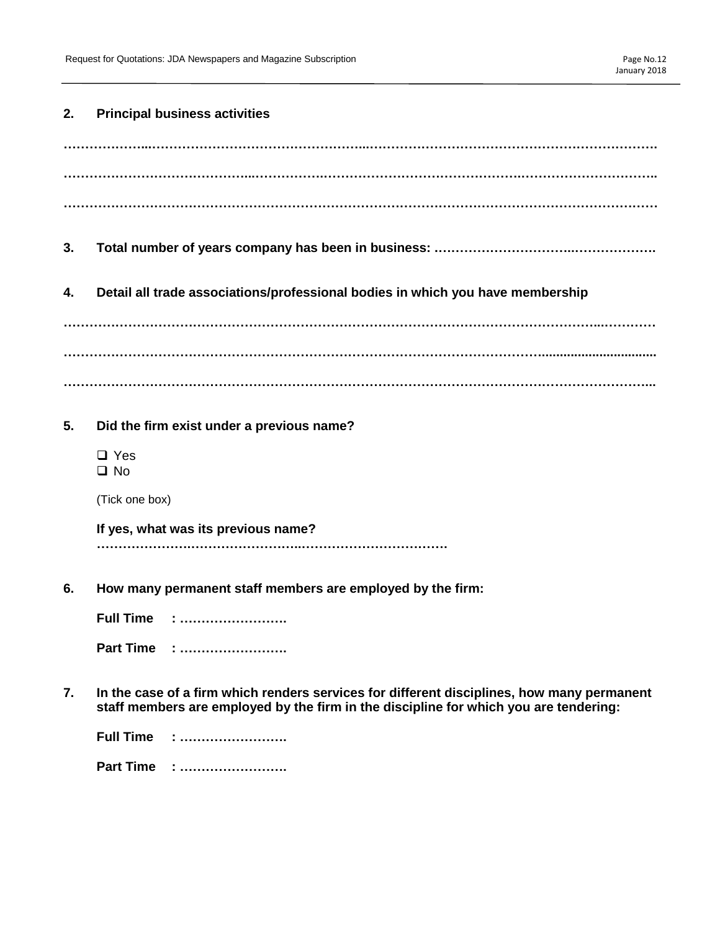### **2. Principal business activities**

- **3. Total number of years company has been in business: .…………………………..……………….**
- **4. Detail all trade associations/professional bodies in which you have membership**

**……………………………………………………………………………………………………………...………… …………………………………………………………………………………………………................................ ………………………………………………………………………………………………………………………...**

- **5. Did the firm exist under a previous name?**
	- □ Yes  $\Box$  No

(Tick one box)

**If yes, what was its previous name? ………………….……………………..…………………………….**

**6. How many permanent staff members are employed by the firm:**

**Full Time : ……………………. Part Time : …………………….**

**7. In the case of a firm which renders services for different disciplines, how many permanent staff members are employed by the firm in the discipline for which you are tendering:**

| Full Time | . |
|-----------|---|
| Part Time |   |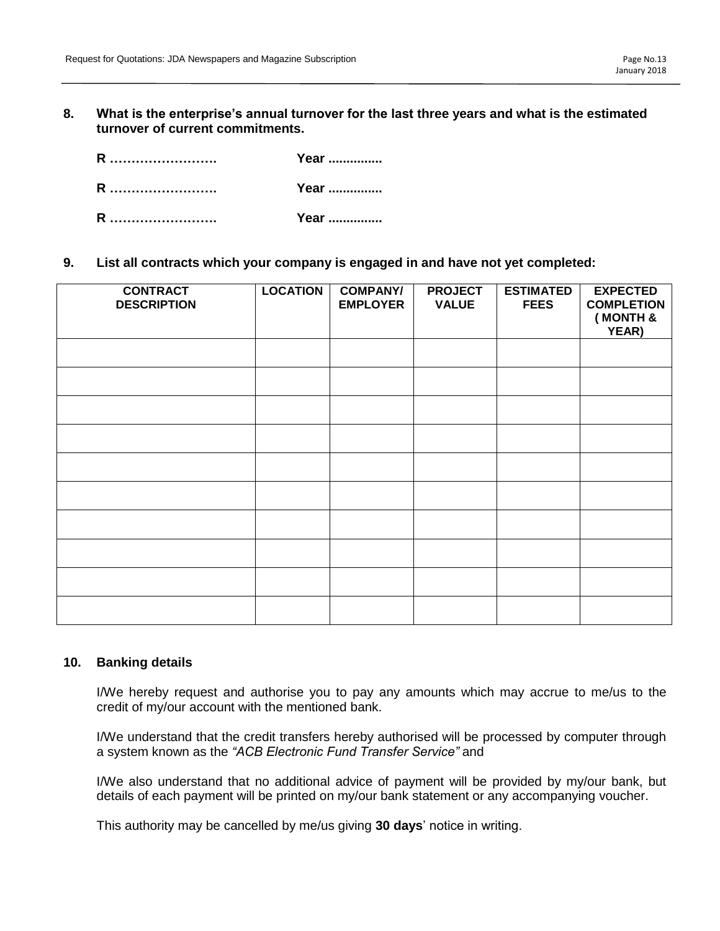**8. What is the enterprise's annual turnover for the last three years and what is the estimated turnover of current commitments.**

| R | Year         |
|---|--------------|
| R | Year         |
| R | <b>Year </b> |

**9. List all contracts which your company is engaged in and have not yet completed:**

| <b>CONTRACT</b><br><b>DESCRIPTION</b> | <b>LOCATION</b> | <b>COMPANY/</b><br><b>EMPLOYER</b> | <b>PROJECT</b><br><b>VALUE</b> | <b>ESTIMATED</b><br><b>FEES</b> | <b>EXPECTED</b><br><b>COMPLETION</b><br>(MONTH &<br>YEAR) |
|---------------------------------------|-----------------|------------------------------------|--------------------------------|---------------------------------|-----------------------------------------------------------|
|                                       |                 |                                    |                                |                                 |                                                           |
|                                       |                 |                                    |                                |                                 |                                                           |
|                                       |                 |                                    |                                |                                 |                                                           |
|                                       |                 |                                    |                                |                                 |                                                           |
|                                       |                 |                                    |                                |                                 |                                                           |
|                                       |                 |                                    |                                |                                 |                                                           |
|                                       |                 |                                    |                                |                                 |                                                           |
|                                       |                 |                                    |                                |                                 |                                                           |
|                                       |                 |                                    |                                |                                 |                                                           |
|                                       |                 |                                    |                                |                                 |                                                           |

### **10. Banking details**

I/We hereby request and authorise you to pay any amounts which may accrue to me/us to the credit of my/our account with the mentioned bank.

I/We understand that the credit transfers hereby authorised will be processed by computer through a system known as the *"ACB Electronic Fund Transfer Service"* and

I/We also understand that no additional advice of payment will be provided by my/our bank, but details of each payment will be printed on my/our bank statement or any accompanying voucher.

This authority may be cancelled by me/us giving **30 days**' notice in writing.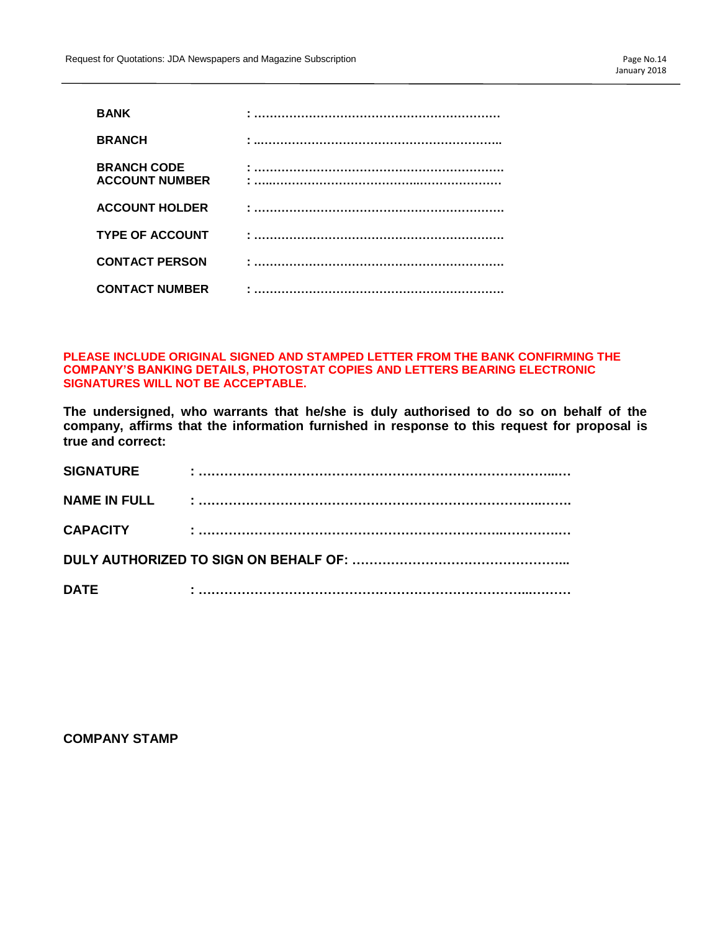| <b>BANK</b>                                 |  |
|---------------------------------------------|--|
| <b>BRANCH</b>                               |  |
| <b>BRANCH CODE</b><br><b>ACCOUNT NUMBER</b> |  |
| <b>ACCOUNT HOLDER</b>                       |  |
| <b>TYPE OF ACCOUNT</b>                      |  |
| <b>CONTACT PERSON</b>                       |  |
| <b>CONTACT NUMBER</b>                       |  |

### **PLEASE INCLUDE ORIGINAL SIGNED AND STAMPED LETTER FROM THE BANK CONFIRMING THE COMPANY'S BANKING DETAILS, PHOTOSTAT COPIES AND LETTERS BEARING ELECTRONIC SIGNATURES WILL NOT BE ACCEPTABLE.**

**The undersigned, who warrants that he/she is duly authorised to do so on behalf of the company, affirms that the information furnished in response to this request for proposal is true and correct:**

| <b>SIGNATURE</b>    |  |  |  |  |
|---------------------|--|--|--|--|
| <b>NAME IN FULL</b> |  |  |  |  |
| <b>CAPACITY</b>     |  |  |  |  |
|                     |  |  |  |  |
| <b>DATE</b>         |  |  |  |  |

**COMPANY STAMP**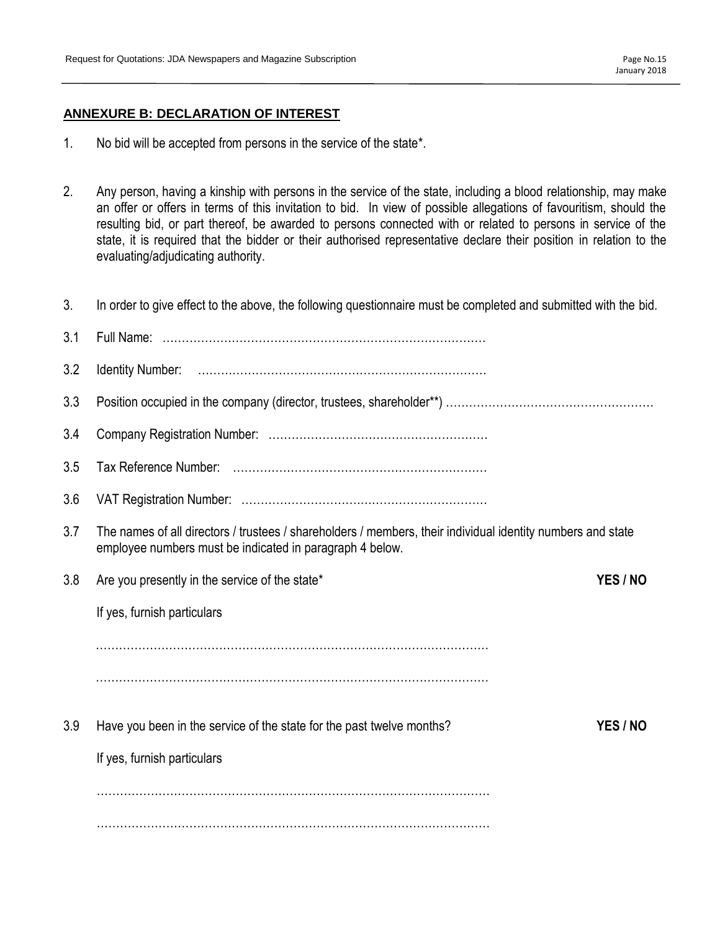# **ANNEXURE B: DECLARATION OF INTEREST**

- 1. No bid will be accepted from persons in the service of the state\*.
- 2. Any person, having a kinship with persons in the service of the state, including a blood relationship, may make an offer or offers in terms of this invitation to bid. In view of possible allegations of favouritism, should the resulting bid, or part thereof, be awarded to persons connected with or related to persons in service of the state, it is required that the bidder or their authorised representative declare their position in relation to the evaluating/adjudicating authority.
- 3. In order to give effect to the above, the following questionnaire must be completed and submitted with the bid.

| 3.1 |                                                                                                                                                                         |          |
|-----|-------------------------------------------------------------------------------------------------------------------------------------------------------------------------|----------|
| 3.2 |                                                                                                                                                                         |          |
| 3.3 |                                                                                                                                                                         |          |
| 3.4 |                                                                                                                                                                         |          |
| 3.5 |                                                                                                                                                                         |          |
| 3.6 |                                                                                                                                                                         |          |
| 3.7 | The names of all directors / trustees / shareholders / members, their individual identity numbers and state<br>employee numbers must be indicated in paragraph 4 below. |          |
| 3.8 | Are you presently in the service of the state*                                                                                                                          | YES / NO |
|     | If yes, furnish particulars                                                                                                                                             |          |
|     |                                                                                                                                                                         |          |
|     |                                                                                                                                                                         |          |
| 3.9 | Have you been in the service of the state for the past twelve months?                                                                                                   | YES / NO |
|     | If yes, furnish particulars                                                                                                                                             |          |
|     |                                                                                                                                                                         |          |
|     |                                                                                                                                                                         |          |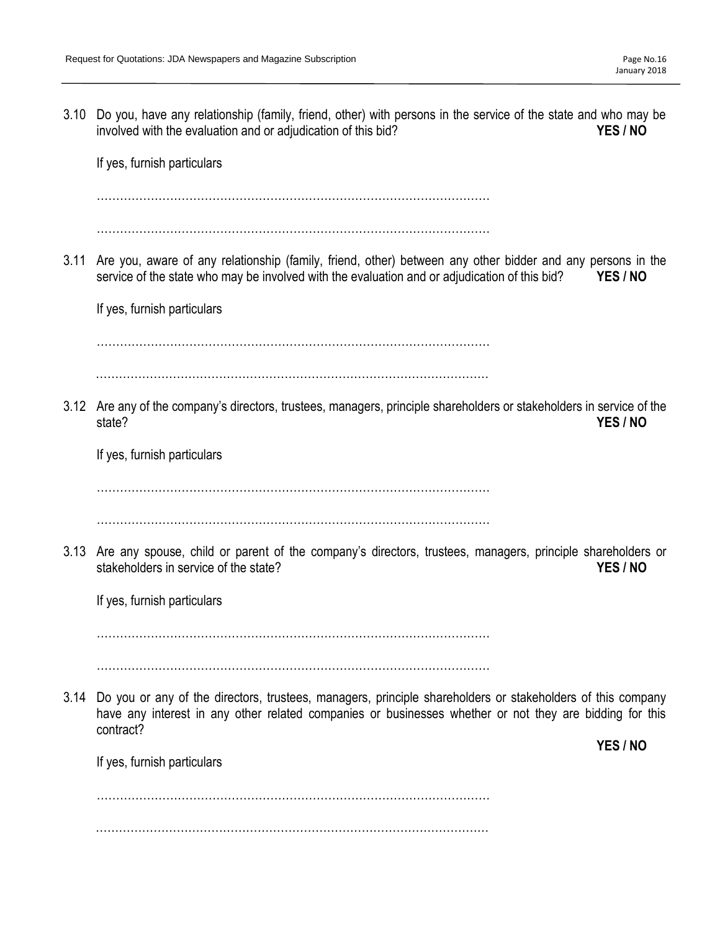3.10 Do you, have any relationship (family, friend, other) with persons in the service of the state and who may be involved with the evaluation and or adjudication of this bid? **YES / NO** If yes, furnish particulars ………………………………………………………………………………………… ………………………………………………………………………………………… 3.11 Are you, aware of any relationship (family, friend, other) between any other bidder and any persons in the service of the state who may be involved with the evaluation and or adjudication of this bid? **YES / NO** If yes, furnish particulars ………………………………………………………………………………………… ………………………………………………………………………………………… 3.12 Are any of the company's directors, trustees, managers, principle shareholders or stakeholders in service of the state? **YES / NO** If yes, furnish particulars ………………………………………………………………………………………… ………………………………………………………………………………………… 3.13 Are any spouse, child or parent of the company's directors, trustees, managers, principle shareholders or stakeholders in service of the state? **YES / NO** If yes, furnish particulars ………………………………………………………………………………………… ………………………………………………………………………………………… 3.14 Do you or any of the directors, trustees, managers, principle shareholders or stakeholders of this company have any interest in any other related companies or businesses whether or not they are bidding for this contract? **YES / NO** If yes, furnish particulars ………………………………………………………………………………………… …………………………………………………………………………………………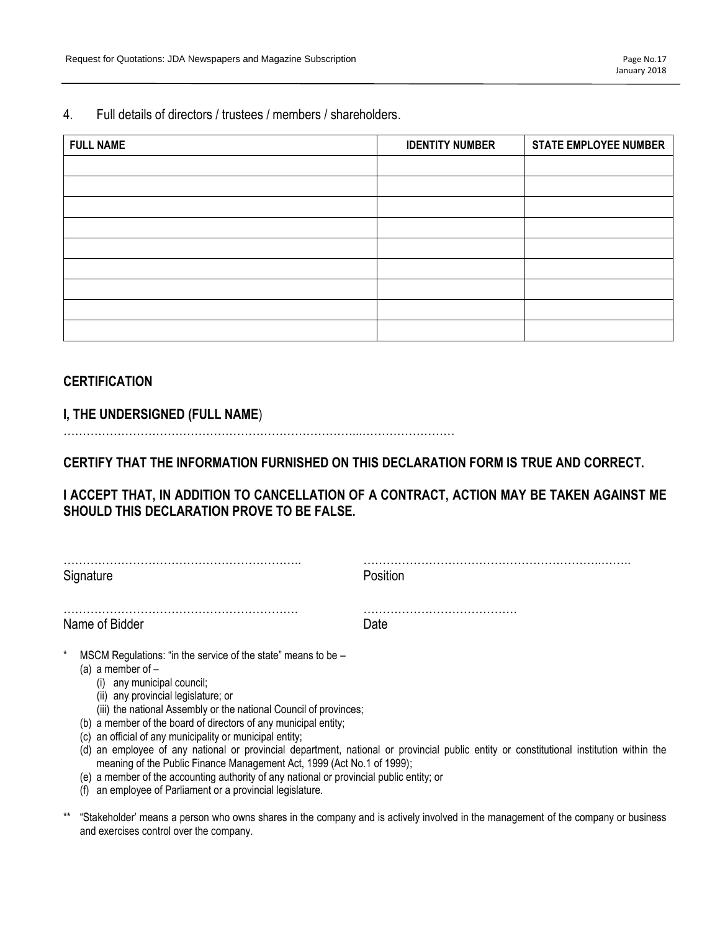4. Full details of directors / trustees / members / shareholders.

| <b>FULL NAME</b> | <b>IDENTITY NUMBER</b> | <b>STATE EMPLOYEE NUMBER</b> |
|------------------|------------------------|------------------------------|
|                  |                        |                              |
|                  |                        |                              |
|                  |                        |                              |
|                  |                        |                              |
|                  |                        |                              |
|                  |                        |                              |
|                  |                        |                              |
|                  |                        |                              |
|                  |                        |                              |

# **CERTIFICATION**

**I, THE UNDERSIGNED (FULL NAME**)

…………………………………………………………………...……………………

**CERTIFY THAT THE INFORMATION FURNISHED ON THIS DECLARATION FORM IS TRUE AND CORRECT.** 

**I ACCEPT THAT, IN ADDITION TO CANCELLATION OF A CONTRACT, ACTION MAY BE TAKEN AGAINST ME SHOULD THIS DECLARATION PROVE TO BE FALSE.** 

| Signature                                                                                                                                                               | Position |
|-------------------------------------------------------------------------------------------------------------------------------------------------------------------------|----------|
|                                                                                                                                                                         |          |
| Name of Bidder                                                                                                                                                          | Date     |
| $\star$<br>MSCM Regulations: "in the service of the state" means to be -<br>(a) a member of $-$<br>any municipal council;<br>(i)<br>(ii) any provincial legislature; or |          |

- (ii) any provincial legislature; or
- (iii) the national Assembly or the national Council of provinces;
- (b) a member of the board of directors of any municipal entity;
- (c) an official of any municipality or municipal entity;
- (d) an employee of any national or provincial department, national or provincial public entity or constitutional institution within the meaning of the Public Finance Management Act, 1999 (Act No.1 of 1999);
- (e) a member of the accounting authority of any national or provincial public entity; or
- (f) an employee of Parliament or a provincial legislature.
- \*\* "Stakeholder' means a person who owns shares in the company and is actively involved in the management of the company or business and exercises control over the company.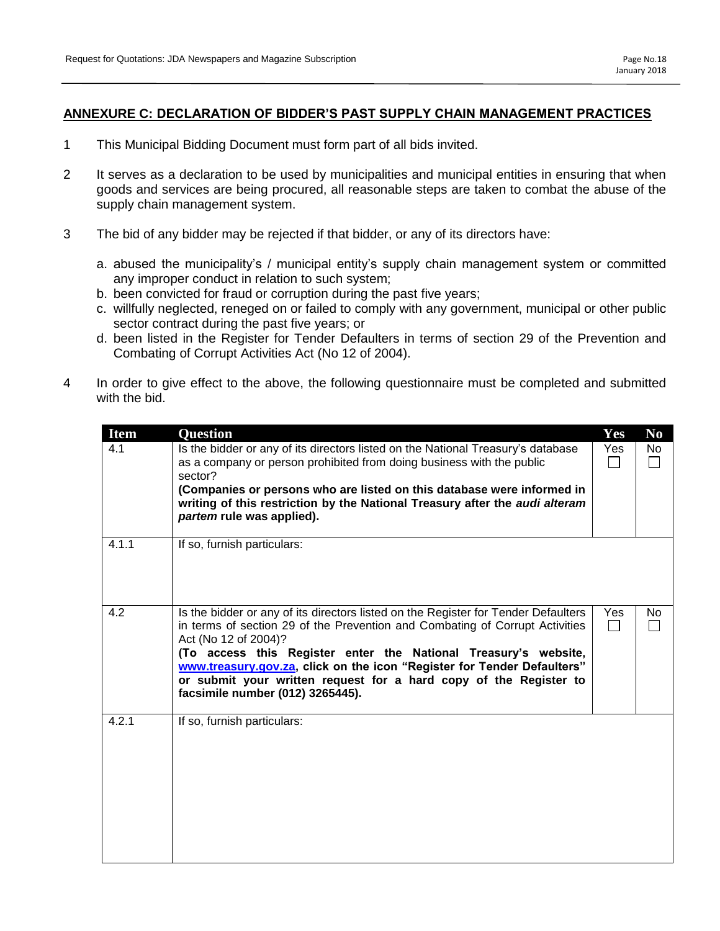# **ANNEXURE C: DECLARATION OF BIDDER'S PAST SUPPLY CHAIN MANAGEMENT PRACTICES**

- 1 This Municipal Bidding Document must form part of all bids invited.
- 2 It serves as a declaration to be used by municipalities and municipal entities in ensuring that when goods and services are being procured, all reasonable steps are taken to combat the abuse of the supply chain management system.
- 3 The bid of any bidder may be rejected if that bidder, or any of its directors have:
	- a. abused the municipality's / municipal entity's supply chain management system or committed any improper conduct in relation to such system;
	- b. been convicted for fraud or corruption during the past five years;
	- c. willfully neglected, reneged on or failed to comply with any government, municipal or other public sector contract during the past five years; or
	- d. been listed in the Register for Tender Defaulters in terms of section 29 of the Prevention and Combating of Corrupt Activities Act (No 12 of 2004).
- 4 In order to give effect to the above, the following questionnaire must be completed and submitted with the bid.

| <b>Item</b> | <b>Question</b>                                                                                                                                                                                                                                                                                                                                                                                                                                   | Yes | N <sub>0</sub>        |
|-------------|---------------------------------------------------------------------------------------------------------------------------------------------------------------------------------------------------------------------------------------------------------------------------------------------------------------------------------------------------------------------------------------------------------------------------------------------------|-----|-----------------------|
| 4.1         | Is the bidder or any of its directors listed on the National Treasury's database<br>as a company or person prohibited from doing business with the public<br>sector?<br>(Companies or persons who are listed on this database were informed in<br>writing of this restriction by the National Treasury after the audi alteram<br>partem rule was applied).                                                                                        | Yes | No<br><b>Contract</b> |
| 4.1.1       | If so, furnish particulars:                                                                                                                                                                                                                                                                                                                                                                                                                       |     |                       |
| 4.2         | Is the bidder or any of its directors listed on the Register for Tender Defaulters<br>in terms of section 29 of the Prevention and Combating of Corrupt Activities<br>Act (No 12 of 2004)?<br>(To access this Register enter the National Treasury's website,<br>www.treasury.gov.za, click on the icon "Register for Tender Defaulters"<br>or submit your written request for a hard copy of the Register to<br>facsimile number (012) 3265445). | Yes | No.                   |
| 4.2.1       | If so, furnish particulars:                                                                                                                                                                                                                                                                                                                                                                                                                       |     |                       |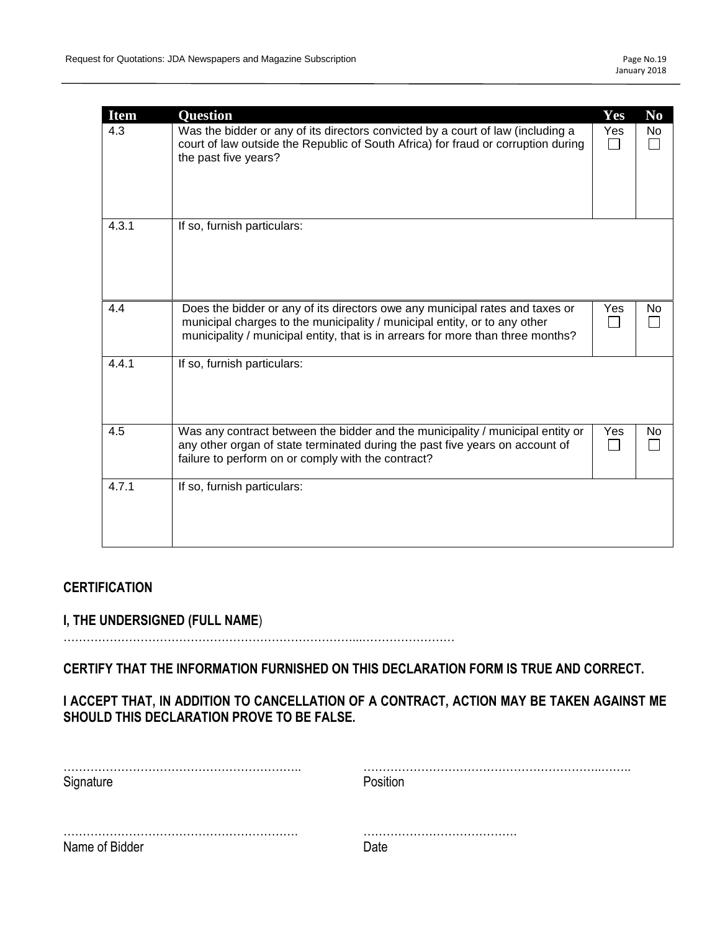| <b>Item</b><br>4.3 | <b>Ouestion</b><br>Was the bidder or any of its directors convicted by a court of law (including a<br>court of law outside the Republic of South Africa) for fraud or corruption during<br>the past five years?                              | Yes<br>Yes | N <sub>0</sub><br>No |
|--------------------|----------------------------------------------------------------------------------------------------------------------------------------------------------------------------------------------------------------------------------------------|------------|----------------------|
| 4.3.1              | If so, furnish particulars:                                                                                                                                                                                                                  |            |                      |
| 4.4                | Does the bidder or any of its directors owe any municipal rates and taxes or<br>municipal charges to the municipality / municipal entity, or to any other<br>municipality / municipal entity, that is in arrears for more than three months? | Yes<br>L   | No                   |
| 4.4.1              | If so, furnish particulars:                                                                                                                                                                                                                  |            |                      |
| 4.5                | Was any contract between the bidder and the municipality / municipal entity or<br>any other organ of state terminated during the past five years on account of<br>failure to perform on or comply with the contract?                         | Yes        | No.                  |
| 4.7.1              | If so, furnish particulars:                                                                                                                                                                                                                  |            |                      |

# **CERTIFICATION**

# **I, THE UNDERSIGNED (FULL NAME**)

…………………………………………………………………...……………………

**CERTIFY THAT THE INFORMATION FURNISHED ON THIS DECLARATION FORM IS TRUE AND CORRECT.** 

# **I ACCEPT THAT, IN ADDITION TO CANCELLATION OF A CONTRACT, ACTION MAY BE TAKEN AGAINST ME SHOULD THIS DECLARATION PROVE TO BE FALSE.**

| Signature      | Position |
|----------------|----------|
|                |          |
| Name of Bidder |          |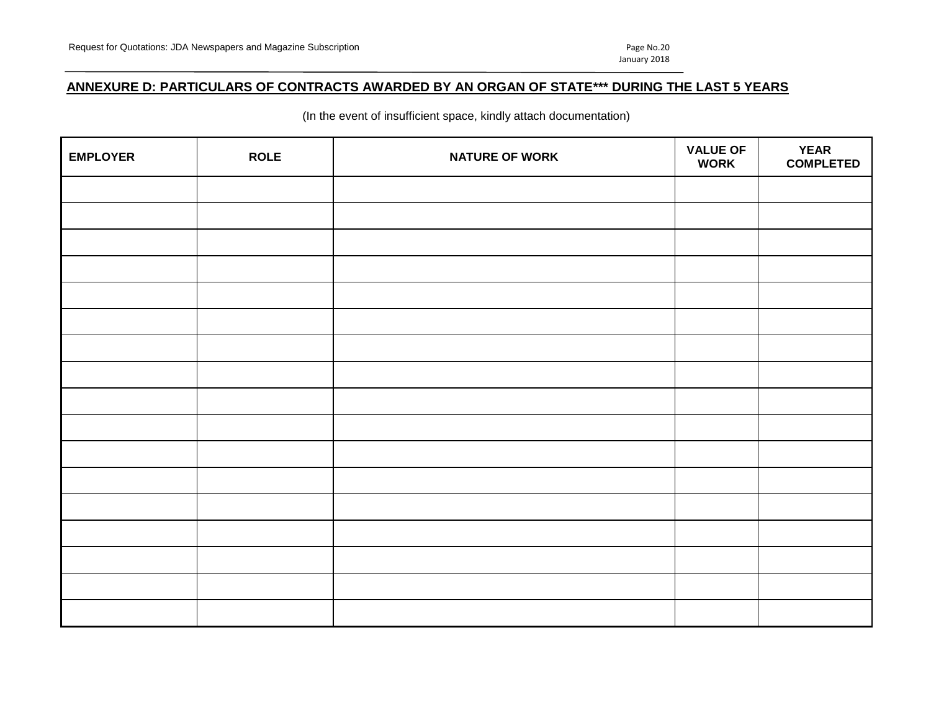# **ANNEXURE D: PARTICULARS OF CONTRACTS AWARDED BY AN ORGAN OF STATE\*\*\* DURING THE LAST 5 YEARS**

(In the event of insufficient space, kindly attach documentation)

| <b>EMPLOYER</b> | <b>ROLE</b> | <b>NATURE OF WORK</b> | <b>VALUE OF</b><br><b>WORK</b> | <b>YEAR</b><br><b>COMPLETED</b> |
|-----------------|-------------|-----------------------|--------------------------------|---------------------------------|
|                 |             |                       |                                |                                 |
|                 |             |                       |                                |                                 |
|                 |             |                       |                                |                                 |
|                 |             |                       |                                |                                 |
|                 |             |                       |                                |                                 |
|                 |             |                       |                                |                                 |
|                 |             |                       |                                |                                 |
|                 |             |                       |                                |                                 |
|                 |             |                       |                                |                                 |
|                 |             |                       |                                |                                 |
|                 |             |                       |                                |                                 |
|                 |             |                       |                                |                                 |
|                 |             |                       |                                |                                 |
|                 |             |                       |                                |                                 |
|                 |             |                       |                                |                                 |
|                 |             |                       |                                |                                 |
|                 |             |                       |                                |                                 |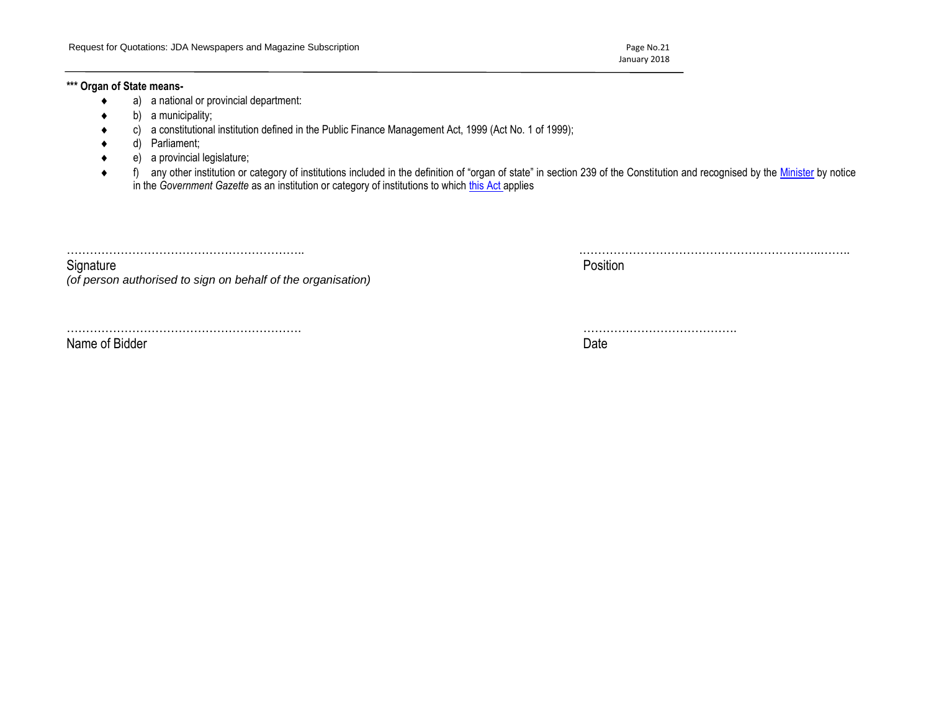January 2018

### **\*\*\* Organ of State means-**

- a) a national or provincial department:
- b) a municipality;
- c) a constitutional institution defined in the Public Finance Management Act, 1999 (Act No. 1 of 1999);
- d) Parliament;
- e) a provincial legislature;
- ◆ f) any other institution or category of institutions included in the definition of "organ of state" in section 239 of the Constitution and recognised by the [Minister](javascript:void(0);) by notice in the *Government Gazette* as an institution or category of institutions to which [this Act](javascript:void(0);) applies

…………………………………………………….. .……………………………………………………..……..

Signature **Position** *(of person authorised to sign on behalf of the organisation)*

……………………………………………………. ………………………………….

Name of Bidder **Date**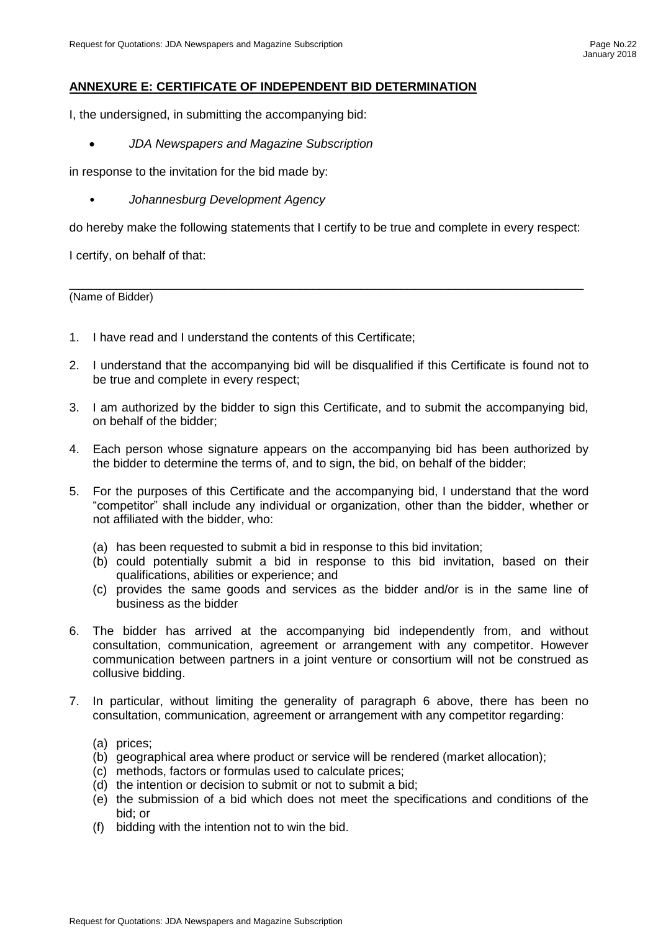# **ANNEXURE E: CERTIFICATE OF INDEPENDENT BID DETERMINATION**

I, the undersigned, in submitting the accompanying bid:

• *JDA Newspapers and Magazine Subscription*

in response to the invitation for the bid made by:

• *Johannesburg Development Agency*

do hereby make the following statements that I certify to be true and complete in every respect:

\_\_\_\_\_\_\_\_\_\_\_\_\_\_\_\_\_\_\_\_\_\_\_\_\_\_\_\_\_\_\_\_\_\_\_\_\_\_\_\_\_\_\_\_\_\_\_\_\_\_\_\_\_\_\_\_\_\_\_\_\_\_\_\_\_\_\_\_\_\_\_\_\_\_\_\_

I certify, on behalf of that:

(Name of Bidder)

- 1. I have read and I understand the contents of this Certificate;
- 2. I understand that the accompanying bid will be disqualified if this Certificate is found not to be true and complete in every respect;
- 3. I am authorized by the bidder to sign this Certificate, and to submit the accompanying bid, on behalf of the bidder;
- 4. Each person whose signature appears on the accompanying bid has been authorized by the bidder to determine the terms of, and to sign, the bid, on behalf of the bidder;
- 5. For the purposes of this Certificate and the accompanying bid, I understand that the word "competitor" shall include any individual or organization, other than the bidder, whether or not affiliated with the bidder, who:
	- (a) has been requested to submit a bid in response to this bid invitation;
	- (b) could potentially submit a bid in response to this bid invitation, based on their qualifications, abilities or experience; and
	- (c) provides the same goods and services as the bidder and/or is in the same line of business as the bidder
- 6. The bidder has arrived at the accompanying bid independently from, and without consultation, communication, agreement or arrangement with any competitor. However communication between partners in a joint venture or consortium will not be construed as collusive bidding.
- 7. In particular, without limiting the generality of paragraph 6 above, there has been no consultation, communication, agreement or arrangement with any competitor regarding:
	- (a) prices;
	- (b) geographical area where product or service will be rendered (market allocation);
	- (c) methods, factors or formulas used to calculate prices;
	- (d) the intention or decision to submit or not to submit a bid;
	- (e) the submission of a bid which does not meet the specifications and conditions of the bid; or
	- (f) bidding with the intention not to win the bid.